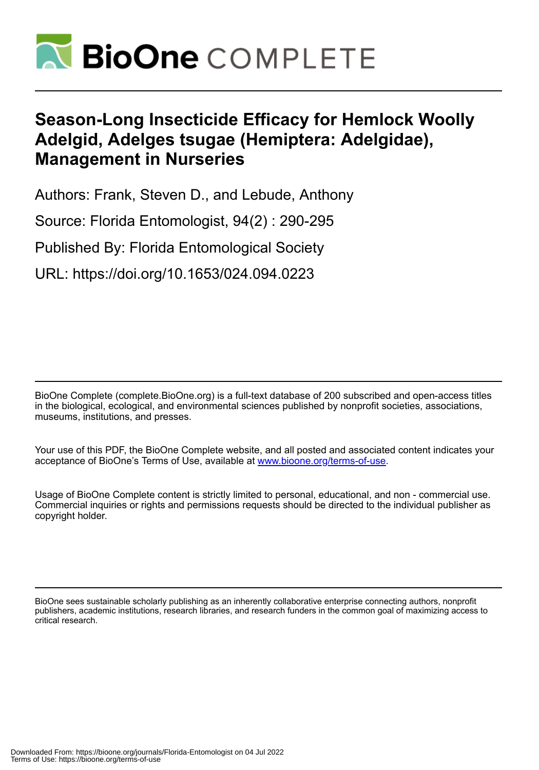

# **Season-Long Insecticide Efficacy for Hemlock Woolly Adelgid, Adelges tsugae (Hemiptera: Adelgidae), Management in Nurseries**

Authors: Frank, Steven D., and Lebude, Anthony

Source: Florida Entomologist, 94(2) : 290-295

Published By: Florida Entomological Society

URL: https://doi.org/10.1653/024.094.0223

BioOne Complete (complete.BioOne.org) is a full-text database of 200 subscribed and open-access titles in the biological, ecological, and environmental sciences published by nonprofit societies, associations, museums, institutions, and presses.

Your use of this PDF, the BioOne Complete website, and all posted and associated content indicates your acceptance of BioOne's Terms of Use, available at www.bioone.org/terms-of-use.

Usage of BioOne Complete content is strictly limited to personal, educational, and non - commercial use. Commercial inquiries or rights and permissions requests should be directed to the individual publisher as copyright holder.

BioOne sees sustainable scholarly publishing as an inherently collaborative enterprise connecting authors, nonprofit publishers, academic institutions, research libraries, and research funders in the common goal of maximizing access to critical research.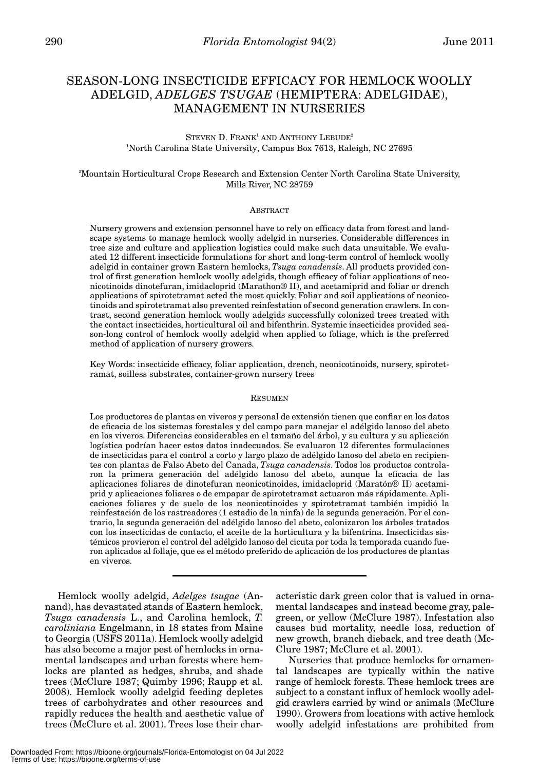# SEASON-LONG INSECTICIDE EFFICACY FOR HEMLOCK WOOLLY ADELGID, *ADELGES TSUGAE* (HEMIPTERA: ADELGIDAE), MANAGEMENT IN NURSERIES

# STEVEN D. FRANK<sup>1</sup> AND ANTHONY LEBUDE<sup>2</sup> 1 North Carolina State University, Campus Box 7613, Raleigh, NC 27695

### 2 Mountain Horticultural Crops Research and Extension Center North Carolina State University, Mills River, NC 28759

#### ABSTRACT

Nursery growers and extension personnel have to rely on efficacy data from forest and landscape systems to manage hemlock woolly adelgid in nurseries. Considerable differences in tree size and culture and application logistics could make such data unsuitable. We evaluated 12 different insecticide formulations for short and long-term control of hemlock woolly adelgid in container grown Eastern hemlocks, *Tsuga canadensis*. All products provided control of first generation hemlock woolly adelgids, though efficacy of foliar applications of neonicotinoids dinotefuran, imidacloprid (Marathon® II), and acetamiprid and foliar or drench applications of spirotetramat acted the most quickly. Foliar and soil applications of neonicotinoids and spirotetramat also prevented reinfestation of second generation crawlers. In contrast, second generation hemlock woolly adelgids successfully colonized trees treated with the contact insecticides, horticultural oil and bifenthrin. Systemic insecticides provided season-long control of hemlock woolly adelgid when applied to foliage, which is the preferred method of application of nursery growers.

Key Words: insecticide efficacy, foliar application, drench, neonicotinoids, nursery, spirotetramat, soilless substrates, container-grown nursery trees

#### **RESUMEN**

Los productores de plantas en viveros y personal de extensión tienen que confiar en los datos de eficacia de los sistemas forestales y del campo para manejar el adélgido lanoso del abeto en los viveros. Diferencias considerables en el tamaño del árbol, y su cultura y su aplicación logística podrían hacer estos datos inadecuados. Se evaluaron 12 diferentes formulaciones de insecticidas para el control a corto y largo plazo de adélgido lanoso del abeto en recipientes con plantas de Falso Abeto del Canada, *Tsuga canadensis*. Todos los productos controlaron la primera generación del adélgido lanoso del abeto, aunque la eficacia de las aplicaciones foliares de dinotefuran neonicotinoides, imidacloprid (Maratón® II) acetamiprid y aplicaciones foliares o de empapar de spirotetramat actuaron más rápidamente. Aplicaciones foliares y de suelo de los neonicotinoides y spirotetramat también impidió la reinfestación de los rastreadores (1 estadio de la ninfa) de la segunda generación. Por el contrario, la segunda generación del adélgido lanoso del abeto, colonizaron los árboles tratados con los insecticidas de contacto, el aceite de la horticultura y la bifentrina. Insecticidas sistémicos provieron el control del adélgido lanoso del cicuta por toda la temporada cuando fueron aplicados al follaje, que es el método preferido de aplicación de los productores de plantas en viveros.

Hemlock woolly adelgid, *Adelges tsugae* (Annand), has devastated stands of Eastern hemlock, *Tsuga canadensis* L., and Carolina hemlock, *T. caroliniana* Engelmann, in 18 states from Maine to Georgia (USFS 2011a). Hemlock woolly adelgid has also become a major pest of hemlocks in ornamental landscapes and urban forests where hemlocks are planted as hedges, shrubs, and shade trees (McClure 1987; Quimby 1996; Raupp et al. 2008). Hemlock woolly adelgid feeding depletes trees of carbohydrates and other resources and rapidly reduces the health and aesthetic value of trees (McClure et al. 2001). Trees lose their characteristic dark green color that is valued in ornamental landscapes and instead become gray, palegreen, or yellow (McClure 1987). Infestation also causes bud mortality, needle loss, reduction of new growth, branch dieback, and tree death (Mc-Clure 1987; McClure et al. 2001).

Nurseries that produce hemlocks for ornamental landscapes are typically within the native range of hemlock forests. These hemlock trees are subject to a constant influx of hemlock woolly adelgid crawlers carried by wind or animals (McClure 1990). Growers from locations with active hemlock woolly adelgid infestations are prohibited from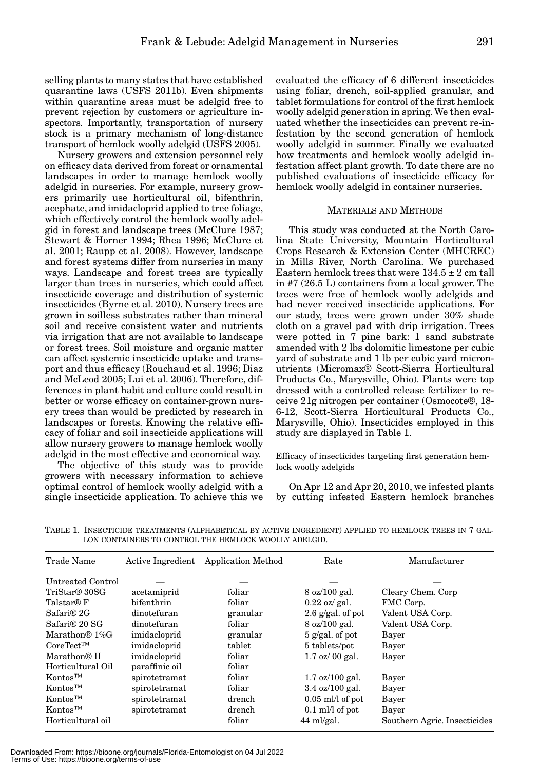selling plants to many states that have established quarantine laws (USFS 2011b). Even shipments within quarantine areas must be adelgid free to prevent rejection by customers or agriculture inspectors. Importantly, transportation of nursery stock is a primary mechanism of long-distance transport of hemlock woolly adelgid (USFS 2005).

Nursery growers and extension personnel rely on efficacy data derived from forest or ornamental landscapes in order to manage hemlock woolly adelgid in nurseries. For example, nursery growers primarily use horticultural oil, bifenthrin, acephate, and imidacloprid applied to tree foliage, which effectively control the hemlock woolly adelgid in forest and landscape trees (McClure 1987; Stewart & Horner 1994; Rhea 1996; McClure et al. 2001; Raupp et al. 2008). However, landscape and forest systems differ from nurseries in many ways. Landscape and forest trees are typically larger than trees in nurseries, which could affect insecticide coverage and distribution of systemic insecticides (Byrne et al. 2010). Nursery trees are grown in soilless substrates rather than mineral soil and receive consistent water and nutrients via irrigation that are not available to landscape or forest trees. Soil moisture and organic matter can affect systemic insecticide uptake and transport and thus efficacy (Rouchaud et al. 1996; Diaz and McLeod 2005; Lui et al. 2006). Therefore, differences in plant habit and culture could result in better or worse efficacy on container-grown nursery trees than would be predicted by research in landscapes or forests. Knowing the relative efficacy of foliar and soil insecticide applications will allow nursery growers to manage hemlock woolly adelgid in the most effective and economical way.

The objective of this study was to provide growers with necessary information to achieve optimal control of hemlock woolly adelgid with a single insecticide application. To achieve this we

evaluated the efficacy of 6 different insecticides using foliar, drench, soil-applied granular, and tablet formulations for control of the first hemlock woolly adelgid generation in spring. We then evaluated whether the insecticides can prevent re-infestation by the second generation of hemlock woolly adelgid in summer. Finally we evaluated how treatments and hemlock woolly adelgid infestation affect plant growth. To date there are no published evaluations of insecticide efficacy for hemlock woolly adelgid in container nurseries.

#### MATERIALS AND METHODS

This study was conducted at the North Carolina State University, Mountain Horticultural Crops Research & Extension Center (MHCREC) in Mills River, North Carolina. We purchased Eastern hemlock trees that were  $134.5 \pm 2$  cm tall in #7 (26.5 L) containers from a local grower. The trees were free of hemlock woolly adelgids and had never received insecticide applications. For our study, trees were grown under 30% shade cloth on a gravel pad with drip irrigation. Trees were potted in 7 pine bark: 1 sand substrate amended with 2 lbs dolomitic limestone per cubic yard of substrate and 1 lb per cubic yard micronutrients (Micromax® Scott-Sierra Horticultural Products Co., Marysville, Ohio). Plants were top dressed with a controlled release fertilizer to receive 21g nitrogen per container (Osmocote®, 18- 6-12, Scott-Sierra Horticultural Products Co., Marysville, Ohio). Insecticides employed in this study are displayed in Table 1.

Efficacy of insecticides targeting first generation hemlock woolly adelgids

On Apr 12 and Apr 20, 2010, we infested plants by cutting infested Eastern hemlock branches

TABLE 1. INSECTICIDE TREATMENTS (ALPHABETICAL BY ACTIVE INGREDIENT) APPLIED TO HEMLOCK TREES IN 7 GAL-LON CONTAINERS TO CONTROL THE HEMLOCK WOOLLY ADELGID.

| Trade Name                | Active Ingredient | <b>Application Method</b> | Rate                               | Manufacturer                 |
|---------------------------|-------------------|---------------------------|------------------------------------|------------------------------|
| Untreated Control         |                   |                           |                                    |                              |
| TriStar <sup>®</sup> 30SG | acetamiprid       | foliar                    | $8 \text{ oz}/100 \text{ gal.}$    | Cleary Chem. Corp            |
| Talstar® F                | bifenthrin        | foliar                    | $0.22 \text{ oz/gal.}$             | FMC Corp.                    |
| Safari® 2G                | dinotefuran       | granular                  | 2.6 $g/gal$ , of pot               | Valent USA Corp.             |
| Safari® 20 SG             | dinotefuran       | foliar                    | $8 \text{ oz}/100 \text{ gal.}$    | Valent USA Corp.             |
| Marathon® 1%G             | imidacloprid      | granular                  | $5$ g/gal, of pot                  | Bayer                        |
| $CoreTect^{TM}$           | imidacloprid      | tablet                    | 5 tablets/pot                      | Bayer                        |
| Marathon <sup>®</sup> II  | imidacloprid      | foliar                    | $1.7 \text{ oz} / 00 \text{ gal.}$ | Bayer                        |
| Horticultural Oil         | paraffinic oil    | foliar                    |                                    |                              |
| Kontos <sup>TM</sup>      | spirotetramat     | foliar                    | $1.7 \text{ oz}/100 \text{ gal.}$  | Bayer                        |
| Kontos <sup>TM</sup>      | spirotetramat     | foliar                    | $3.4 \text{ oz}/100 \text{ gal.}$  | Bayer                        |
| Kontos <sup>TM</sup>      | spirotetramat     | drench                    | $0.05$ ml/l of pot                 | Bayer                        |
| Kontos <sup>TM</sup>      | spirotetramat     | drench                    | $0.1$ ml/l of pot                  | Bayer                        |
| Horticultural oil         |                   | foliar                    | $44$ ml/gal.                       | Southern Agric. Insecticides |

Downloaded From: https://bioone.org/journals/Florida-Entomologist on 04 Jul 2022 Terms of Use: https://bioone.org/terms-of-use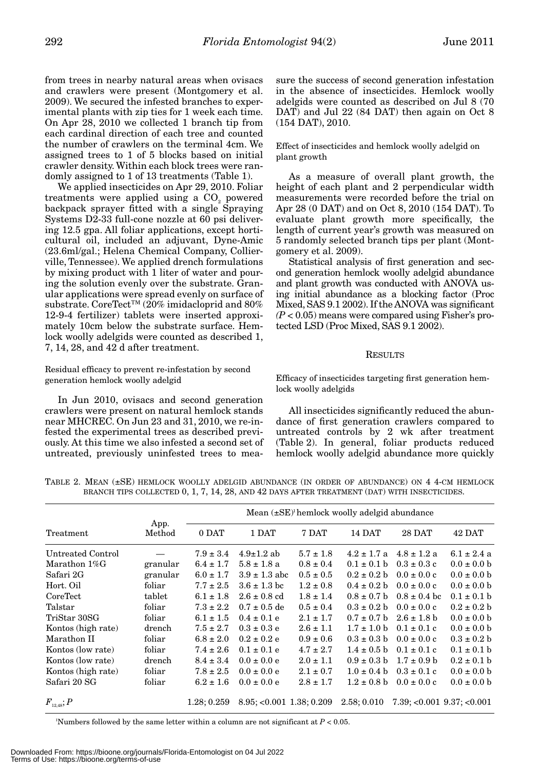from trees in nearby natural areas when ovisacs and crawlers were present (Montgomery et al. 2009). We secured the infested branches to experimental plants with zip ties for 1 week each time. On Apr 28, 2010 we collected 1 branch tip from each cardinal direction of each tree and counted the number of crawlers on the terminal 4cm. We assigned trees to 1 of 5 blocks based on initial crawler density. Within each block trees were randomly assigned to 1 of 13 treatments (Table 1).

We applied insecticides on Apr 29, 2010. Foliar treatments were applied using a  $CO<sub>2</sub>$  powered backpack sprayer fitted with a single Spraying Systems D2-33 full-cone nozzle at 60 psi delivering 12.5 gpa. All foliar applications, except horticultural oil, included an adjuvant, Dyne-Amic (23.6ml/gal.; Helena Chemical Company, Collierville, Tennessee). We applied drench formulations by mixing product with 1 liter of water and pouring the solution evenly over the substrate. Granular applications were spread evenly on surface of substrate. CoreTect™ (20% imidacloprid and 80% 12-9-4 fertilizer) tablets were inserted approximately 10cm below the substrate surface. Hemlock woolly adelgids were counted as described 1, 7, 14, 28, and 42 d after treatment.

Residual efficacy to prevent re-infestation by second generation hemlock woolly adelgid

In Jun 2010, ovisacs and second generation crawlers were present on natural hemlock stands near MHCREC. On Jun 23 and 31, 2010, we re-infested the experimental trees as described previously. At this time we also infested a second set of untreated, previously uninfested trees to mea-

sure the success of second generation infestation in the absence of insecticides. Hemlock woolly adelgids were counted as described on Jul 8 (70 DAT) and Jul 22 (84 DAT) then again on Oct 8 (154 DAT), 2010.

Effect of insecticides and hemlock woolly adelgid on plant growth

As a measure of overall plant growth, the height of each plant and 2 perpendicular width measurements were recorded before the trial on Apr 28 (0 DAT) and on Oct 8, 2010 (154 DAT). To evaluate plant growth more specifically, the length of current year's growth was measured on 5 randomly selected branch tips per plant (Montgomery et al. 2009).

Statistical analysis of first generation and second generation hemlock woolly adelgid abundance and plant growth was conducted with ANOVA using initial abundance as a blocking factor (Proc Mixed, SAS 9.1 2002). If the ANOVA was significant  $(P<0.05)$  means were compared using Fisher's protected LSD (Proc Mixed, SAS 9.1 2002).

# **RESULTS**

Efficacy of insecticides targeting first generation hemlock woolly adelgids

All insecticides significantly reduced the abundance of first generation crawlers compared to untreated controls by 2 wk after treatment (Table 2). In general, foliar products reduced hemlock woolly adelgid abundance more quickly

|                                   |                | Mean $(\pm SE)^{\dagger}$ hemlock woolly adelgid abundance |                            |               |                         |                                 |                 |
|-----------------------------------|----------------|------------------------------------------------------------|----------------------------|---------------|-------------------------|---------------------------------|-----------------|
| Treatment                         | App.<br>Method | 0 DAT                                                      | 1 DAT                      | 7 DAT         | 14 DAT                  | <b>28 DAT</b>                   | 42 DAT          |
| Untreated Control                 |                | $7.9 \pm 3.4$                                              | $4.9 \pm 1.2$ ab           | $5.7 \pm 1.8$ | $4.2 \pm 1.7$ a         | $4.8 \pm 1.2$ a                 | $6.1 \pm 2.4$ a |
| Marathon 1%G                      | granular       | $6.4 \pm 1.7$                                              | $5.8 \pm 1.8$ a            | $0.8 \pm 0.4$ | $0.1 \pm 0.1 b$         | $0.3 \pm 0.3 c$                 | $0.0 \pm 0.0 b$ |
| Safari 2G                         | granular       | $6.0 \pm 1.7$                                              | $3.9 \pm 1.3$ abc          | $0.5 \pm 0.5$ |                         | $0.2 \pm 0.2$ b $0.0 \pm 0.0$ c | $0.0 \pm 0.0 b$ |
| Hort. Oil                         | foliar         | $7.7 \pm 2.5$                                              | $3.6 \pm 1.3$ bc           | $1.2 \pm 0.8$ | $0.4 \pm 0.2 h$         | $0.0 \pm 0.0 c$                 | $0.0 \pm 0.0$ b |
| CoreTect                          | tablet         | $6.1 \pm 1.8$                                              | $2.6 \pm 0.8$ cd           | $1.8 \pm 1.4$ | $0.8 \pm 0.7$ b         | $0.8 \pm 0.4$ bc                | $0.1 \pm 0.1 b$ |
| Talstar                           | foliar         | $7.3 \pm 2.2$                                              | $0.7 \pm 0.5$ de           | $0.5 \pm 0.4$ |                         | $0.3 \pm 0.2$ b $0.0 \pm 0.0$ c | $0.2 \pm 0.2 b$ |
| TriStar 30SG                      | foliar         | $6.1 \pm 1.5$                                              | $0.4 \pm 0.1 e$            | $2.1 \pm 1.7$ |                         | $0.7 \pm 0.7$ b $2.6 \pm 1.8$ b | $0.0 \pm 0.0 b$ |
| Kontos (high rate)                | drench         | $7.5 \pm 2.7$                                              | $0.3 \pm 0.3 e$            | $2.6 \pm 1.1$ | $1.7 \pm 1.0 \text{ b}$ | $0.1 \pm 0.1$ c                 | $0.0 \pm 0.0 b$ |
| Marathon II                       | foliar         | $6.8 \pm 2.0$                                              | $0.2 \pm 0.2 e$            | $0.9 \pm 0.6$ | $0.3 \pm 0.3$ b         | $0.0 \pm 0.0 c$                 | $0.3 \pm 0.2 b$ |
| Kontos (low rate)                 | foliar         | $7.4 \pm 2.6$                                              | $0.1 \pm 0.1 e$            | $4.7 \pm 2.7$ | $1.4 \pm 0.5$ b         | $0.1 \pm 0.1$ c                 | $0.1 \pm 0.1 h$ |
| Kontos (low rate)                 | drench         | $8.4 \pm 3.4$                                              | $0.0 \pm 0.0 e$            | $2.0 \pm 1.1$ | $0.9 \pm 0.3$ b         | $1.7 \pm 0.9$ b                 | $0.2 \pm 0.1 b$ |
| Kontos (high rate)                | foliar         | $7.8 \pm 2.5$                                              | $0.0 \pm 0.0 e$            | $2.1 \pm 0.7$ | $1.0 \pm 0.4 h$         | $0.3 \pm 0.1$ c                 | $0.0 \pm 0.0 b$ |
| Safari 20 SG                      | foliar         | $6.2 \pm 1.6$                                              | $0.0 \pm 0.0 e$            | $2.8 \pm 1.7$ | $1.2 \pm 0.8$ b         | $0.0 \pm 0.0 c$                 | $0.0 \pm 0.0 b$ |
| $F_{\scriptscriptstyle{12,48}};P$ |                | 1.28:0.259                                                 | $8.95; <0.001$ 1.38; 0.209 |               | 2.58:0.010              | $7.39; <0.001$ $9.37; <0.001$   |                 |

TABLE 2. MEAN (±SE) HEMLOCK WOOLLY ADELGID ABUNDANCE (IN ORDER OF ABUNDANCE) ON 4 4-CM HEMLOCK BRANCH TIPS COLLECTED 0, 1, 7, 14, 28, AND 42 DAYS AFTER TREATMENT (DAT) WITH INSECTICIDES.

'Numbers followed by the same letter within a column are not significant at  $P < 0.05$ .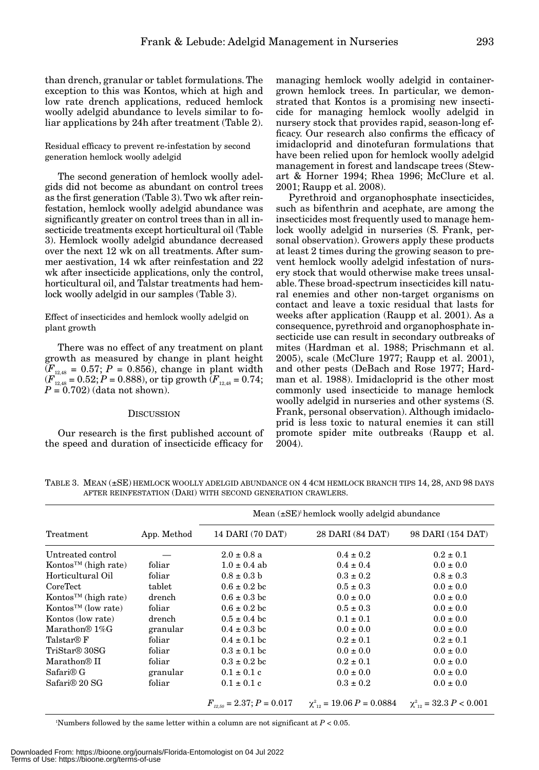than drench, granular or tablet formulations. The exception to this was Kontos, which at high and low rate drench applications, reduced hemlock woolly adelgid abundance to levels similar to foliar applications by 24h after treatment (Table 2).

Residual efficacy to prevent re-infestation by second generation hemlock woolly adelgid

The second generation of hemlock woolly adelgids did not become as abundant on control trees as the first generation (Table 3). Two wk after reinfestation, hemlock woolly adelgid abundance was significantly greater on control trees than in all insecticide treatments except horticultural oil (Table 3). Hemlock woolly adelgid abundance decreased over the next 12 wk on all treatments. After summer aestivation, 14 wk after reinfestation and 22 wk after insecticide applications, only the control, horticultural oil, and Talstar treatments had hemlock woolly adelgid in our samples (Table 3).

Effect of insecticides and hemlock woolly adelgid on plant growth

There was no effect of any treatment on plant growth as measured by change in plant height  $(F_{12,48} = 0.57; P = 0.856)$ , change in plant width  $(F_{12.48}^{\mu_{23.5}} = 0.52; P = 0.888)$ , or tip growth  $(F_{12.48} = 0.74;$ *P* = 0.702) (data not shown).

#### **DISCUSSION**

Our research is the first published account of the speed and duration of insecticide efficacy for

managing hemlock woolly adelgid in containergrown hemlock trees. In particular, we demonstrated that Kontos is a promising new insecticide for managing hemlock woolly adelgid in nursery stock that provides rapid, season-long efficacy. Our research also confirms the efficacy of imidacloprid and dinotefuran formulations that have been relied upon for hemlock woolly adelgid management in forest and landscape trees (Stewart & Horner 1994; Rhea 1996; McClure et al. 2001; Raupp et al. 2008).

Pyrethroid and organophosphate insecticides, such as bifenthrin and acephate, are among the insecticides most frequently used to manage hemlock woolly adelgid in nurseries (S. Frank, personal observation). Growers apply these products at least 2 times during the growing season to prevent hemlock woolly adelgid infestation of nursery stock that would otherwise make trees unsalable. These broad-spectrum insecticides kill natural enemies and other non-target organisms on contact and leave a toxic residual that lasts for weeks after application (Raupp et al. 2001). As a consequence, pyrethroid and organophosphate insecticide use can result in secondary outbreaks of mites (Hardman et al. 1988; Prischmann et al. 2005), scale (McClure 1977; Raupp et al. 2001), and other pests (DeBach and Rose 1977; Hardman et al. 1988). Imidacloprid is the other most commonly used insecticide to manage hemlock woolly adelgid in nurseries and other systems (S. Frank, personal observation). Although imidacloprid is less toxic to natural enemies it can still promote spider mite outbreaks (Raupp et al. 2004).

TABLE 3. MEAN (±SE) HEMLOCK WOOLLY ADELGID ABUNDANCE ON 4 4CM HEMLOCK BRANCH TIPS 14, 28, AND 98 DAYS AFTER REINFESTATION (DARI) WITH SECOND GENERATION CRAWLERS.

|                                              |             | Mean $(\pm SE)^i$ hemlock woolly adelgid abundance |                                                                                                                            |                   |  |  |
|----------------------------------------------|-------------|----------------------------------------------------|----------------------------------------------------------------------------------------------------------------------------|-------------------|--|--|
| Treatment                                    | App. Method | 14 DARI (70 DAT)                                   | 28 DARI (84 DAT)                                                                                                           | 98 DARI (154 DAT) |  |  |
| Untreated control                            |             | $2.0 \pm 0.8$ a                                    | $0.4 \pm 0.2$                                                                                                              | $0.2 \pm 0.1$     |  |  |
| Kontos <sup>TM</sup> (high rate)             | foliar      | $1.0 \pm 0.4$ ab                                   | $0.4 \pm 0.4$                                                                                                              | $0.0 \pm 0.0$     |  |  |
| Horticultural Oil                            | foliar      | $0.8 \pm 0.3$ b                                    | $0.3 \pm 0.2$                                                                                                              | $0.8 \pm 0.3$     |  |  |
| <b>CoreTect</b>                              | tablet      | $0.6 \pm 0.2$ bc                                   | $0.5 \pm 0.3$                                                                                                              | $0.0 \pm 0.0$     |  |  |
| Kontos™ (high rate)                          | drench      | $0.6 \pm 0.3$ bc                                   | $0.0 \pm 0.0$                                                                                                              | $0.0 \pm 0.0$     |  |  |
| Kontos <sup><math>TM</math></sup> (low rate) | foliar      | $0.6 \pm 0.2$ bc                                   | $0.5 \pm 0.3$                                                                                                              | $0.0 \pm 0.0$     |  |  |
| Kontos (low rate)                            | drench      | $0.5 \pm 0.4$ bc                                   | $0.1 \pm 0.1$                                                                                                              | $0.0 \pm 0.0$     |  |  |
| Marathon <sup>®</sup> $1\%$ G                | granular    | $0.4 \pm 0.3$ bc                                   | $0.0 \pm 0.0$                                                                                                              | $0.0 \pm 0.0$     |  |  |
| Talstar® F                                   | foliar      | $0.4 \pm 0.1$ bc                                   | $0.2 \pm 0.1$                                                                                                              | $0.2 \pm 0.1$     |  |  |
| TriStar <sup>®</sup> 30SG                    | foliar      | $0.3 \pm 0.1$ bc                                   | $0.0 \pm 0.0$                                                                                                              | $0.0 \pm 0.0$     |  |  |
| Marathon <sup>®</sup> II                     | foliar      | $0.3 \pm 0.2$ bc                                   | $0.2 \pm 0.1$                                                                                                              | $0.0 \pm 0.0$     |  |  |
| Safari <sup>®</sup> G                        | granular    | $0.1 \pm 0.1$ c                                    | $0.0 \pm 0.0$                                                                                                              | $0.0 \pm 0.0$     |  |  |
| Safari <sup>®</sup> 20 SG                    | foliar      | $0.1 \pm 0.1$ c                                    | $0.3 \pm 0.2$                                                                                                              | $0.0 \pm 0.0$     |  |  |
|                                              |             |                                                    | $F_{\gamma_2, \gamma_0} = 2.37; P = 0.017$ $\chi^2_{\gamma_2} = 19.06 \ P = 0.0884$ $\chi^2_{\gamma_2} = 32.3 \ P < 0.001$ |                   |  |  |

Numbers followed by the same letter within a column are not significant at  $P < 0.05$ .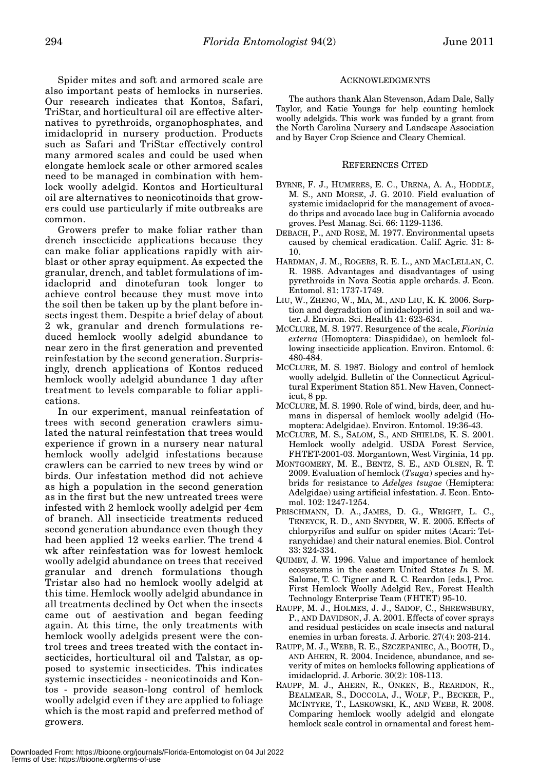Spider mites and soft and armored scale are also important pests of hemlocks in nurseries. Our research indicates that Kontos, Safari, TriStar, and horticultural oil are effective alternatives to pyrethroids, organophosphates, and imidacloprid in nursery production. Products such as Safari and TriStar effectively control many armored scales and could be used when elongate hemlock scale or other armored scales need to be managed in combination with hemlock woolly adelgid. Kontos and Horticultural oil are alternatives to neonicotinoids that growers could use particularly if mite outbreaks are common.

Growers prefer to make foliar rather than drench insecticide applications because they can make foliar applications rapidly with airblast or other spray equipment. As expected the granular, drench, and tablet formulations of imidacloprid and dinotefuran took longer to achieve control because they must move into the soil then be taken up by the plant before insects ingest them. Despite a brief delay of about 2 wk, granular and drench formulations reduced hemlock woolly adelgid abundance to near zero in the first generation and prevented reinfestation by the second generation. Surprisingly, drench applications of Kontos reduced hemlock woolly adelgid abundance 1 day after treatment to levels comparable to foliar applications.

In our experiment, manual reinfestation of trees with second generation crawlers simulated the natural reinfestation that trees would experience if grown in a nursery near natural hemlock woolly adelgid infestations because crawlers can be carried to new trees by wind or birds. Our infestation method did not achieve as high a population in the second generation as in the first but the new untreated trees were infested with 2 hemlock woolly adelgid per 4cm of branch. All insecticide treatments reduced second generation abundance even though they had been applied 12 weeks earlier. The trend 4 wk after reinfestation was for lowest hemlock woolly adelgid abundance on trees that received granular and drench formulations though Tristar also had no hemlock woolly adelgid at this time. Hemlock woolly adelgid abundance in all treatments declined by Oct when the insects came out of aestivation and began feeding again. At this time, the only treatments with hemlock woolly adelgids present were the control trees and trees treated with the contact insecticides, horticultural oil and Talstar, as opposed to systemic insecticides. This indicates systemic insecticides - neonicotinoids and Kontos - provide season-long control of hemlock woolly adelgid even if they are applied to foliage which is the most rapid and preferred method of growers.

# ACKNOWLEDGMENTS

The authors thank Alan Stevenson, Adam Dale, Sally Taylor, and Katie Youngs for help counting hemlock woolly adelgids. This work was funded by a grant from the North Carolina Nursery and Landscape Association and by Bayer Crop Science and Cleary Chemical.

#### REFERENCES CITED

- BYRNE, F. J., HUMERES, E. C., URENA, A. A., HODDLE, M. S., AND MORSE, J. G. 2010. Field evaluation of systemic imidacloprid for the management of avocado thrips and avocado lace bug in California avocado groves. Pest Manag. Sci. 66: 1129-1136.
- DEBACH, P., AND ROSE, M. 1977. Environmental upsets caused by chemical eradication. Calif. Agric. 31: 8- 10.
- HARDMAN, J. M., ROGERS, R. E. L., AND MACLELLAN, C. R. 1988. Advantages and disadvantages of using pyrethroids in Nova Scotia apple orchards. J. Econ. Entomol. 81: 1737-1749.
- LIU, W., ZHENG, W., MA, M., AND LIU, K. K. 2006. Sorption and degradation of imidacloprid in soil and water. J. Environ. Sci. Health 41: 623-634.
- MCCLURE, M. S. 1977. Resurgence of the scale, *Fiorinia externa* (Homoptera: Diaspididae), on hemlock following insecticide application. Environ. Entomol. 6: 480-484.
- MCCLURE, M. S. 1987. Biology and control of hemlock woolly adelgid. Bulletin of the Connecticut Agricultural Experiment Station 851. New Haven, Connecticut, 8 pp.
- MCCLURE, M. S. 1990. Role of wind, birds, deer, and humans in dispersal of hemlock woolly adelgid (Homoptera: Adelgidae). Environ. Entomol. 19:36-43.
- MCCLURE, M. S., SALOM, S., AND SHIELDS, K. S. 2001. Hemlock woolly adelgid. USDA Forest Service, FHTET-2001-03. Morgantown, West Virginia, 14 pp.
- MONTGOMERY, M. E., BENTZ, S. E., AND OLSEN, R. T. 2009. Evaluation of hemlock (*Tsuga*) species and hybrids for resistance to *Adelges tsugae* (Hemiptera: Adelgidae) using artificial infestation. J. Econ. Entomol. 102: 1247-1254.
- PRISCHMANN, D. A., JAMES, D. G., WRIGHT, L. C., TENEYCK, R. D., AND SNYDER, W. E. 2005. Effects of chlorpyrifos and sulfur on spider mites (Acari: Tetranychidae) and their natural enemies. Biol. Control 33: 324-334.
- QUIMBY, J. W. 1996. Value and importance of hemlock ecosystems in the eastern United States *In* S. M. Salome, T. C. Tigner and R. C. Reardon [eds.], Proc. First Hemlock Woolly Adelgid Rev., Forest Health Technology Enterprise Team (FHTET) 95-10.
- RAUPP, M. J., HOLMES, J. J., SADOF, C., SHREWSBURY, P., AND DAVIDSON, J. A. 2001. Effects of cover sprays and residual pesticides on scale insects and natural enemies in urban forests. J. Arboric. 27(4): 203-214.
- RAUPP, M. J., WEBB, R. E., SZCZEPANIEC, A., BOOTH, D., AND AHERN, R. 2004. Incidence, abundance, and severity of mites on hemlocks following applications of imidacloprid. J. Arboric. 30(2): 108-113.
- RAUPP, M. J., AHERN, R., ONKEN, B., REARDON, R., BEALMEAR, S., DOCCOLA, J., WOLF, P., BECKER, P., MCINTYRE, T., LASKOWSKI, K., AND WEBB, R. 2008. Comparing hemlock woolly adelgid and elongate hemlock scale control in ornamental and forest hem-